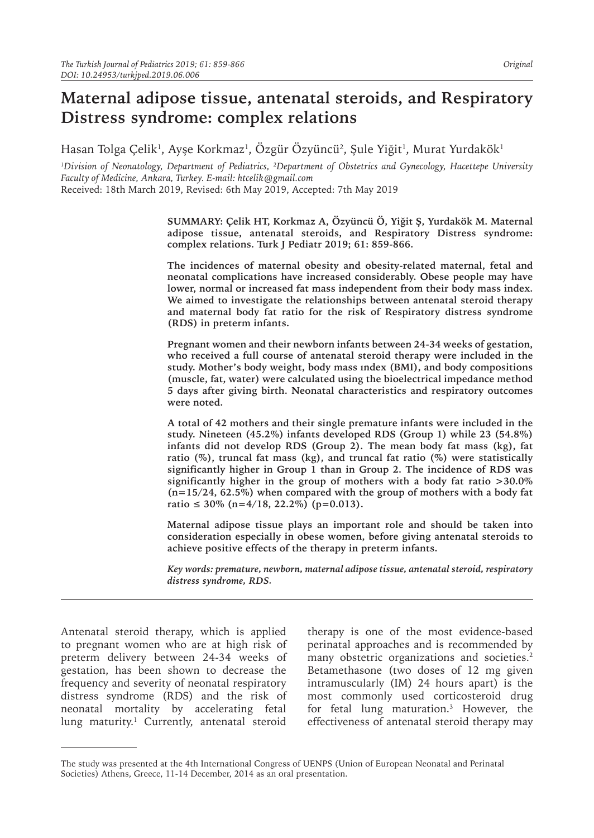# **Maternal adipose tissue, antenatal steroids, and Respiratory Distress syndrome: complex relations**

Hasan Tolga Çelik<sup>ı</sup>, Ayşe Korkmaz<sup>ı</sup>, Ozgür Ozyüncü<sup>2</sup>, Şule Yiğit<sup>ı</sup>, Murat Yurdakök<sup>ı</sup>

*1 Division of Neonatology, Department of Pediatrics, <sup>2</sup> Department of Obstetrics and Gynecology, Hacettepe University Faculty of Medicine, Ankara, Turkey. E-mail: htcelik@gmail.com* Received: 18th March 2019, Revised: 6th May 2019, Accepted: 7th May 2019

> **SUMMARY: Çelik HT, Korkmaz A, Özyüncü Ö, Yiğit Ş, Yurdakök M. Maternal adipose tissue, antenatal steroids, and Respiratory Distress syndrome: complex relations. Turk J Pediatr 2019; 61: 859-866.**

> **The incidences of maternal obesity and obesity-related maternal, fetal and neonatal complications have increased considerably. Obese people may have lower, normal or increased fat mass independent from their body mass index. We aimed to investigate the relationships between antenatal steroid therapy and maternal body fat ratio for the risk of Respiratory distress syndrome (RDS) in preterm infants.**

> **Pregnant women and their newborn infants between 24-34 weeks of gestation, who received a full course of antenatal steroid therapy were included in the study. Mother's body weight, body mass ındex (BMI), and body compositions (muscle, fat, water) were calculated using the bioelectrical impedance method 5 days after giving birth. Neonatal characteristics and respiratory outcomes were noted.**

> **A total of 42 mothers and their single premature infants were included in the study. Nineteen (45.2%) infants developed RDS (Group 1) while 23 (54.8%) infants did not develop RDS (Group 2). The mean body fat mass (kg), fat ratio (%), truncal fat mass (kg), and truncal fat ratio (%) were statistically significantly higher in Group 1 than in Group 2. The incidence of RDS was significantly higher in the group of mothers with a body fat ratio >30.0% (n=15/24, 62.5%) when compared with the group of mothers with a body fat ratio ≤ 30% (n=4/18, 22.2%) (p=0.013).**

> **Maternal adipose tissue plays an important role and should be taken into consideration especially in obese women, before giving antenatal steroids to achieve positive effects of the therapy in preterm infants.**

> *Key words: premature, newborn, maternal adipose tissue, antenatal steroid, respiratory distress syndrome, RDS.*

Antenatal steroid therapy, which is applied to pregnant women who are at high risk of preterm delivery between 24-34 weeks of gestation, has been shown to decrease the frequency and severity of neonatal respiratory distress syndrome (RDS) and the risk of neonatal mortality by accelerating fetal lung maturity.<sup>1</sup> Currently, antenatal steroid

therapy is one of the most evidence-based perinatal approaches and is recommended by many obstetric organizations and societies.<sup>2</sup> Betamethasone (two doses of 12 mg given intramuscularly (IM) 24 hours apart) is the most commonly used corticosteroid drug for fetal lung maturation.3 However, the effectiveness of antenatal steroid therapy may

The study was presented at the 4th International Congress of UENPS (Union of European Neonatal and Perinatal Societies) Athens, Greece, 11-14 December, 2014 as an oral presentation.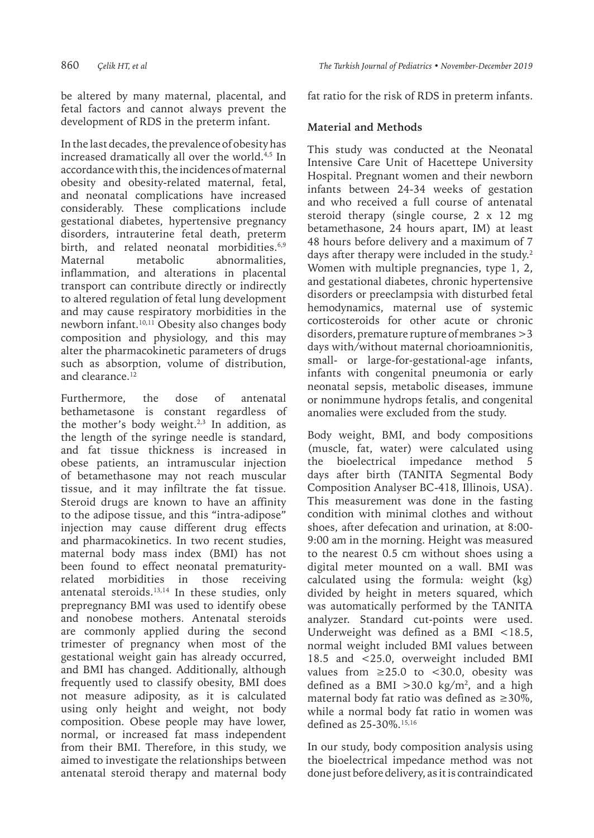be altered by many maternal, placental, and fetal factors and cannot always prevent the development of RDS in the preterm infant.

In the last decades, the prevalence of obesity has increased dramatically all over the world.<sup>4,5</sup> In accordance with this, the incidences of maternal obesity and obesity-related maternal, fetal, and neonatal complications have increased considerably. These complications include gestational diabetes, hypertensive pregnancy disorders, intrauterine fetal death, preterm birth, and related neonatal morbidities.<sup>6,9</sup> Maternal metabolic abnormalities, inflammation, and alterations in placental transport can contribute directly or indirectly to altered regulation of fetal lung development and may cause respiratory morbidities in the newborn infant.<sup>10,11</sup> Obesity also changes body composition and physiology, and this may alter the pharmacokinetic parameters of drugs such as absorption, volume of distribution, and clearance.<sup>12</sup>

Furthermore, the dose of antenatal bethametasone is constant regardless of the mother's body weight. $2,3$  In addition, as the length of the syringe needle is standard, and fat tissue thickness is increased in obese patients, an intramuscular injection of betamethasone may not reach muscular tissue, and it may infiltrate the fat tissue. Steroid drugs are known to have an affinity to the adipose tissue, and this "intra-adipose" injection may cause different drug effects and pharmacokinetics. In two recent studies, maternal body mass index (BMI) has not been found to effect neonatal prematurityrelated morbidities in those receiving antenatal steroids. $13,14$  In these studies, only prepregnancy BMI was used to identify obese and nonobese mothers. Antenatal steroids are commonly applied during the second trimester of pregnancy when most of the gestational weight gain has already occurred, and BMI has changed. Additionally, although frequently used to classify obesity, BMI does not measure adiposity, as it is calculated using only height and weight, not body composition. Obese people may have lower, normal, or increased fat mass independent from their BMI. Therefore, in this study, we aimed to investigate the relationships between antenatal steroid therapy and maternal body

fat ratio for the risk of RDS in preterm infants.

## **Material and Methods**

This study was conducted at the Neonatal Intensive Care Unit of Hacettepe University Hospital. Pregnant women and their newborn infants between 24-34 weeks of gestation and who received a full course of antenatal steroid therapy (single course, 2 x 12 mg betamethasone, 24 hours apart, IM) at least 48 hours before delivery and a maximum of 7 days after therapy were included in the study.2 Women with multiple pregnancies, type 1, 2, and gestational diabetes, chronic hypertensive disorders or preeclampsia with disturbed fetal hemodynamics, maternal use of systemic corticosteroids for other acute or chronic disorders, premature rupture of membranes >3 days with/without maternal chorioamnionitis, small- or large-for-gestational-age infants, infants with congenital pneumonia or early neonatal sepsis, metabolic diseases, immune or nonimmune hydrops fetalis, and congenital anomalies were excluded from the study.

Body weight, BMI, and body compositions (muscle, fat, water) were calculated using the bioelectrical impedance method days after birth (TANITA Segmental Body Composition Analyser BC-418, Illinois, USA). This measurement was done in the fasting condition with minimal clothes and without shoes, after defecation and urination, at 8:00- 9:00 am in the morning. Height was measured to the nearest 0.5 cm without shoes using a digital meter mounted on a wall. BMI was calculated using the formula: weight (kg) divided by height in meters squared, which was automatically performed by the TANITA analyzer. Standard cut-points were used. Underweight was defined as a BMI <18.5, normal weight included BMI values between 18.5 and <25.0, overweight included BMI values from  $\geq$ 25.0 to <30.0, obesity was defined as a BMI  $>30.0$  kg/m<sup>2</sup>, and a high maternal body fat ratio was defined as  $\geq 30\%$ . while a normal body fat ratio in women was defined as 25-30%.15,16

In our study, body composition analysis using the bioelectrical impedance method was not done just before delivery, as it is contraindicated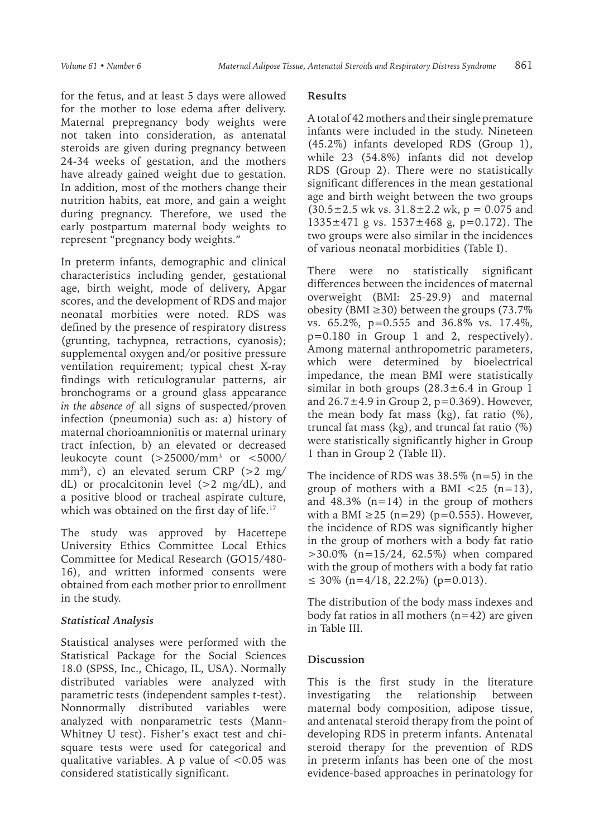for the fetus, and at least 5 days were allowed for the mother to lose edema after delivery. Maternal prepregnancy body weights were not taken into consideration, as antenatal steroids are given during pregnancy between 24-34 weeks of gestation, and the mothers have already gained weight due to gestation. In addition, most of the mothers change their nutrition habits, eat more, and gain a weight during pregnancy. Therefore, we used the early postpartum maternal body weights to represent "pregnancy body weights."

In preterm infants, demographic and clinical characteristics including gender, gestational age, birth weight, mode of delivery, Apgar scores, and the development of RDS and major neonatal morbities were noted. RDS was defined by the presence of respiratory distress (grunting, tachypnea, retractions, cyanosis); supplemental oxygen and/or positive pressure ventilation requirement; typical chest X-ray findings with reticulogranular patterns, air bronchograms or a ground glass appearance *in the absence of* all signs of suspected/proven infection (pneumonia) such as: a) history of maternal chorioamnionitis or maternal urinary tract infection, b) an elevated or decreased leukocyte count (>25000/mm3 or <5000/ mm3 ), c) an elevated serum CRP (>2 mg/ dL) or procalcitonin level  $(>2 \text{ mg/dL})$ , and a positive blood or tracheal aspirate culture, which was obtained on the first day of life.<sup>17</sup>

The study was approved by Hacettepe University Ethics Committee Local Ethics Committee for Medical Research (GO15/480- 16), and written informed consents were obtained from each mother prior to enrollment in the study.

### *Statistical Analysis*

Statistical analyses were performed with the Statistical Package for the Social Sciences 18.0 (SPSS, Inc., Chicago, IL, USA). Normally distributed variables were analyzed with parametric tests (independent samples t-test). Nonnormally distributed variables were analyzed with nonparametric tests (Mann-Whitney U test). Fisher's exact test and chisquare tests were used for categorical and qualitative variables. A p value of  $< 0.05$  was considered statistically significant.

### **Results**

A total of 42 mothers and their single premature infants were included in the study. Nineteen (45.2%) infants developed RDS (Group 1), while 23 (54.8%) infants did not develop RDS (Group 2). There were no statistically significant differences in the mean gestational age and birth weight between the two groups  $(30.5 \pm 2.5 \text{ wk vs. } 31.8 \pm 2.2 \text{ wk}, p = 0.075 \text{ and }$ 1335±471 g vs. 1537±468 g, p=0.172). The two groups were also similar in the incidences of various neonatal morbidities (Table I).

There were no statistically significant differences between the incidences of maternal overweight (BMI: 25-29.9) and maternal obesity (BMI  $\geq$ 30) between the groups (73.7% vs. 65.2%, p=0.555 and 36.8% vs. 17.4%, p=0.180 in Group 1 and 2, respectively). Among maternal anthropometric parameters, which were determined by bioelectrical impedance, the mean BMI were statistically similar in both groups  $(28.3 \pm 6.4 \text{ in } \text{Group } 1)$ and  $26.7 \pm 4.9$  in Group 2, p=0.369). However, the mean body fat mass (kg), fat ratio  $(\%)$ , truncal fat mass (kg), and truncal fat ratio (%) were statistically significantly higher in Group 1 than in Group 2 (Table II).

The incidence of RDS was  $38.5\%$  (n=5) in the group of mothers with a BMI  $\langle 25 \rangle$  (n=13), and  $48.3\%$  (n=14) in the group of mothers with a BMI  $\geq$ 25 (n=29) (p=0.555). However, the incidence of RDS was significantly higher in the group of mothers with a body fat ratio  $>30.0\%$  (n=15/24, 62.5%) when compared with the group of mothers with a body fat ratio ≤ 30% (n=4/18, 22.2%) (p=0.013).

The distribution of the body mass indexes and body fat ratios in all mothers  $(n=42)$  are given in Table III.

### **Discussion**

This is the first study in the literature investigating the relationship between maternal body composition, adipose tissue, and antenatal steroid therapy from the point of developing RDS in preterm infants. Antenatal steroid therapy for the prevention of RDS in preterm infants has been one of the most evidence-based approaches in perinatology for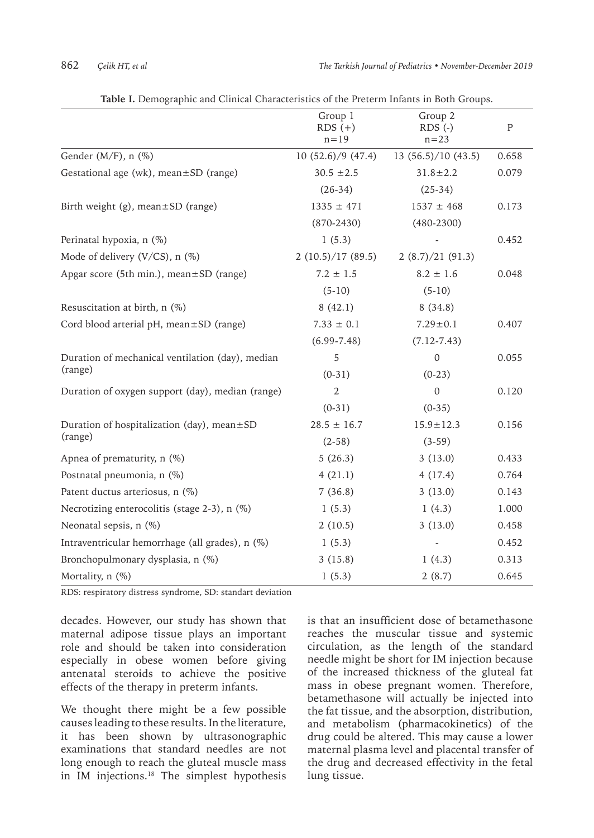|                                                  | Group 1<br>$RDS (+)$<br>$n = 19$ | Group 2<br>$RDS$ (-)<br>$n = 23$ | P     |
|--------------------------------------------------|----------------------------------|----------------------------------|-------|
| Gender (M/F), n (%)                              | 10(52.6)/9(47.4)                 | 13(56.5)/10(43.5)                | 0.658 |
| Gestational age (wk), mean±SD (range)            | $30.5 \pm 2.5$                   | $31.8 \pm 2.2$                   | 0.079 |
|                                                  | $(26-34)$                        | $(25-34)$                        |       |
| Birth weight (g), mean $\pm$ SD (range)          | $1335 \pm 471$                   | $1537 \pm 468$                   | 0.173 |
|                                                  | $(870 - 2430)$                   | $(480 - 2300)$                   |       |
| Perinatal hypoxia, n (%)                         | 1(5.3)                           |                                  | 0.452 |
| Mode of delivery (V/CS), $n$ (%)                 | 2(10.5)/17(89.5)                 | 2(8.7)/21(91.3)                  |       |
| Apgar score (5th min.), mean $\pm$ SD (range)    | $7.2 \pm 1.5$                    | $8.2 \pm 1.6$                    | 0.048 |
|                                                  | $(5-10)$                         | $(5-10)$                         |       |
| Resuscitation at birth, n (%)                    | 8(42.1)                          | 8(34.8)                          |       |
| Cord blood arterial pH, mean±SD (range)          | $7.33 \pm 0.1$                   | $7.29 \pm 0.1$                   | 0.407 |
|                                                  | $(6.99 - 7.48)$                  | $(7.12 - 7.43)$                  |       |
| Duration of mechanical ventilation (day), median | 5                                | $\mathbf{0}$                     | 0.055 |
| (range)                                          | $(0-31)$                         | $(0-23)$                         |       |
| Duration of oxygen support (day), median (range) | $\mathbf{2}$                     | $\mathbf{0}$                     | 0.120 |
|                                                  | $(0-31)$                         | $(0-35)$                         |       |
| Duration of hospitalization (day), mean $\pm$ SD | $28.5 \pm 16.7$                  | $15.9 \pm 12.3$                  | 0.156 |
| (range)                                          | $(2-58)$                         | $(3-59)$                         |       |
| Apnea of prematurity, n (%)                      | 5(26.3)                          | 3(13.0)                          | 0.433 |
| Postnatal pneumonia, n (%)                       | 4(21.1)                          | 4(17.4)                          | 0.764 |
| Patent ductus arteriosus, n (%)                  | 7(36.8)                          | 3(13.0)                          | 0.143 |
| Necrotizing enterocolitis (stage 2-3), n (%)     | 1(5.3)                           | 1(4.3)                           | 1.000 |
| Neonatal sepsis, n (%)                           | 2(10.5)                          | 3(13.0)                          | 0.458 |
| Intraventricular hemorrhage (all grades), n (%)  | 1(5.3)                           |                                  | 0.452 |
| Bronchopulmonary dysplasia, n (%)                | 3(15.8)                          | 1(4.3)                           | 0.313 |
| Mortality, n (%)                                 | 1(5.3)                           | 2(8.7)                           | 0.645 |

| Table I. Demographic and Clinical Characteristics of the Preterm Infants in Both Groups. |  |  |
|------------------------------------------------------------------------------------------|--|--|
|                                                                                          |  |  |

RDS: respiratory distress syndrome, SD: standart deviation

decades. However, our study has shown that maternal adipose tissue plays an important role and should be taken into consideration especially in obese women before giving antenatal steroids to achieve the positive effects of the therapy in preterm infants.

We thought there might be a few possible causes leading to these results. In the literature, it has been shown by ultrasonographic examinations that standard needles are not long enough to reach the gluteal muscle mass in IM injections.<sup>18</sup> The simplest hypothesis is that an insufficient dose of betamethasone reaches the muscular tissue and systemic circulation, as the length of the standard needle might be short for IM injection because of the increased thickness of the gluteal fat mass in obese pregnant women. Therefore, betamethasone will actually be injected into the fat tissue, and the absorption, distribution, and metabolism (pharmacokinetics) of the drug could be altered. This may cause a lower maternal plasma level and placental transfer of the drug and decreased effectivity in the fetal lung tissue.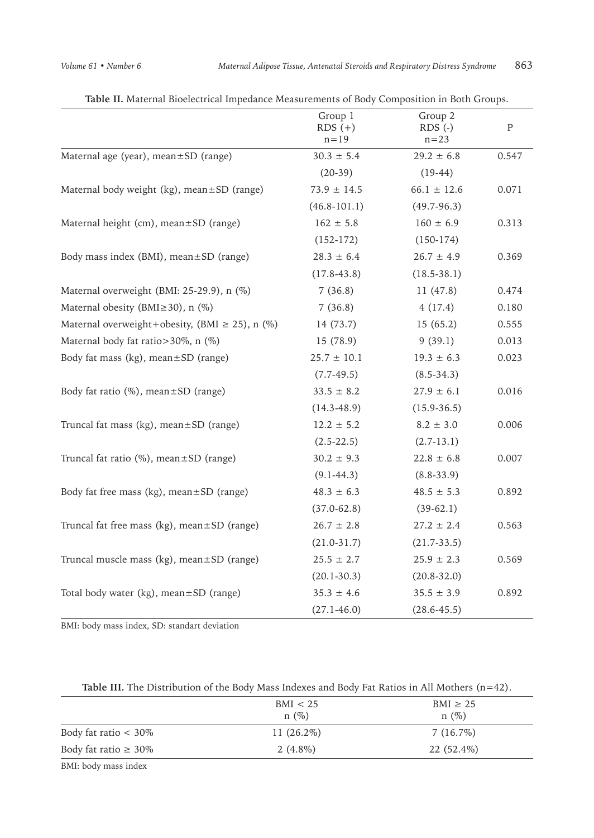|                                                     | Group 1<br>$RDS (+)$<br>$n = 19$ | Group 2<br>$RDS$ (-)<br>$n = 23$ | ${\bf P}$ |
|-----------------------------------------------------|----------------------------------|----------------------------------|-----------|
| Maternal age (year), mean±SD (range)                | $30.3 \pm 5.4$                   | $29.2 \pm 6.8$                   | 0.547     |
|                                                     | $(20-39)$                        | $(19-44)$                        |           |
| Maternal body weight (kg), mean ±SD (range)         | $73.9 \pm 14.5$                  | $66.1 \pm 12.6$                  | 0.071     |
|                                                     | $(46.8 - 101.1)$                 | $(49.7 - 96.3)$                  |           |
| Maternal height (cm), mean±SD (range)               | $162 \pm 5.8$                    | $160 \pm 6.9$                    | 0.313     |
|                                                     | $(152-172)$                      | $(150-174)$                      |           |
| Body mass index (BMI), mean±SD (range)              | $28.3 \pm 6.4$                   | $26.7 \pm 4.9$                   | 0.369     |
|                                                     | $(17.8 - 43.8)$                  | $(18.5 - 38.1)$                  |           |
| Maternal overweight (BMI: 25-29.9), n (%)           | 7(36.8)                          | 11(47.8)                         | 0.474     |
| Maternal obesity (BMI $\geq$ 30), n (%)             | 7(36.8)                          | 4(17.4)                          | 0.180     |
| Maternal overweight+obesity, (BMI $\geq$ 25), n (%) | 14 (73.7)                        | 15(65.2)                         | 0.555     |
| Maternal body fat ratio>30%, n (%)                  | 15(78.9)                         | 9(39.1)                          | 0.013     |
| Body fat mass (kg), mean $\pm$ SD (range)           | $25.7 \pm 10.1$                  | $19.3 \pm 6.3$                   | 0.023     |
|                                                     | $(7.7-49.5)$                     | $(8.5 - 34.3)$                   |           |
| Body fat ratio (%), mean±SD (range)                 | $33.5 \pm 8.2$                   | $27.9 \pm 6.1$                   | 0.016     |
|                                                     | $(14.3 - 48.9)$                  | $(15.9 - 36.5)$                  |           |
| Truncal fat mass (kg), mean±SD (range)              | $12.2 \pm 5.2$                   | $8.2 \pm 3.0$                    | 0.006     |
|                                                     | $(2.5 - 22.5)$                   | $(2.7-13.1)$                     |           |
| Truncal fat ratio $(\%)$ , mean $\pm$ SD (range)    | $30.2 \pm 9.3$                   | $22.8 \pm 6.8$                   | 0.007     |
|                                                     | $(9.1 - 44.3)$                   | $(8.8 - 33.9)$                   |           |
| Body fat free mass (kg), mean ±SD (range)           | $48.3 \pm 6.3$                   | $48.5 \pm 5.3$                   | 0.892     |
|                                                     | $(37.0 - 62.8)$                  | $(39-62.1)$                      |           |
| Truncal fat free mass (kg), mean ±SD (range)        | $26.7 \pm 2.8$                   | $27.2 \pm 2.4$                   | 0.563     |
|                                                     | $(21.0-31.7)$                    | $(21.7-33.5)$                    |           |
| Truncal muscle mass (kg), mean ± SD (range)         | $25.5 \pm 2.7$                   | $25.9 \pm 2.3$                   | 0.569     |
|                                                     | $(20.1 - 30.3)$                  | $(20.8 - 32.0)$                  |           |
| Total body water (kg), mean ±SD (range)             | $35.3 \pm 4.6$                   | $35.5 \pm 3.9$                   | 0.892     |
|                                                     | $(27.1 - 46.0)$                  | $(28.6 - 45.5)$                  |           |

**Table II.** Maternal Bioelectrical Impedance Measurements of Body Composition in Both Groups.

BMI: body mass index, SD: standart deviation

| <b>Table III.</b> The Distribution of the Body Mass Indexes and Body Fat Ratios in All Mothers $(n=42)$ . |  |  |  |
|-----------------------------------------------------------------------------------------------------------|--|--|--|
|-----------------------------------------------------------------------------------------------------------|--|--|--|

|                            | BMI < 25<br>$n(\%)$ | $BMI \geq 25$<br>$n(\%)$ |
|----------------------------|---------------------|--------------------------|
| Body fat ratio $<$ 30%     | $11(26.2\%)$        | $7(16.7\%)$              |
| Body fat ratio $\geq 30\%$ | 2 $(4.8\%)$         | 22 (52.4%)               |
|                            |                     |                          |

BMI: body mass index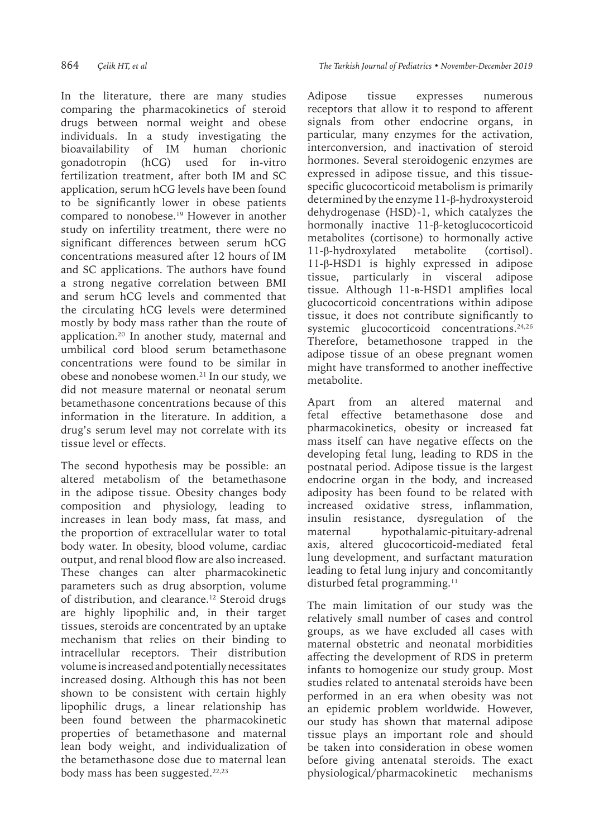In the literature, there are many studies comparing the pharmacokinetics of steroid drugs between normal weight and obese individuals. In a study investigating the bioavailability of IM human chorionic gonadotropin (hCG) used for in-vitro fertilization treatment, after both IM and SC application, serum hCG levels have been found to be significantly lower in obese patients compared to nonobese.19 However in another study on infertility treatment, there were no significant differences between serum hCG concentrations measured after 12 hours of IM and SC applications. The authors have found a strong negative correlation between BMI and serum hCG levels and commented that the circulating hCG levels were determined mostly by body mass rather than the route of application.20 In another study, maternal and umbilical cord blood serum betamethasone concentrations were found to be similar in obese and nonobese women.21 In our study, we did not measure maternal or neonatal serum betamethasone concentrations because of this information in the literature. In addition, a drug's serum level may not correlate with its tissue level or effects.

The second hypothesis may be possible: an altered metabolism of the betamethasone in the adipose tissue. Obesity changes body composition and physiology, leading to increases in lean body mass, fat mass, and the proportion of extracellular water to total body water. In obesity, blood volume, cardiac output, and renal blood flow are also increased. These changes can alter pharmacokinetic parameters such as drug absorption, volume of distribution, and clearance.<sup>12</sup> Steroid drugs are highly lipophilic and, in their target tissues, steroids are concentrated by an uptake mechanism that relies on their binding to intracellular receptors. Their distribution volume is increased and potentially necessitates increased dosing. Although this has not been shown to be consistent with certain highly lipophilic drugs, a linear relationship has been found between the pharmacokinetic properties of betamethasone and maternal lean body weight, and individualization of the betamethasone dose due to maternal lean body mass has been suggested.<sup>22,23</sup>

Adipose tissue expresses numerous receptors that allow it to respond to afferent signals from other endocrine organs, in particular, many enzymes for the activation, interconversion, and inactivation of steroid hormones. Several steroidogenic enzymes are expressed in adipose tissue, and this tissuespecific glucocorticoid metabolism is primarily determined by the enzyme 11-β-hydroxysteroid dehydrogenase (HSD)-1, which catalyzes the hormonally inactive 11-β-ketoglucocorticoid metabolites (cortisone) to hormonally active 11-β-hydroxylated metabolite (cortisol). 11-β-HSD1 is highly expressed in adipose tissue, particularly in visceral adipose tissue. Although 11-Β-HSD1 amplifies local glucocorticoid concentrations within adipose tissue, it does not contribute significantly to systemic glucocorticoid concentrations.<sup>24,26</sup> Therefore, betamethosone trapped in the adipose tissue of an obese pregnant women might have transformed to another ineffective metabolite.

Apart from an altered maternal and fetal effective betamethasone dose and pharmacokinetics, obesity or increased fat mass itself can have negative effects on the developing fetal lung, leading to RDS in the postnatal period. Adipose tissue is the largest endocrine organ in the body, and increased adiposity has been found to be related with increased oxidative stress, inflammation, insulin resistance, dysregulation of the maternal hypothalamic-pituitary-adrenal axis, altered glucocorticoid-mediated fetal lung development, and surfactant maturation leading to fetal lung injury and concomitantly disturbed fetal programming.<sup>11</sup>

The main limitation of our study was the relatively small number of cases and control groups, as we have excluded all cases with maternal obstetric and neonatal morbidities affecting the development of RDS in preterm infants to homogenize our study group. Most studies related to antenatal steroids have been performed in an era when obesity was not an epidemic problem worldwide. However, our study has shown that maternal adipose tissue plays an important role and should be taken into consideration in obese women before giving antenatal steroids. The exact physiological/pharmacokinetic mechanisms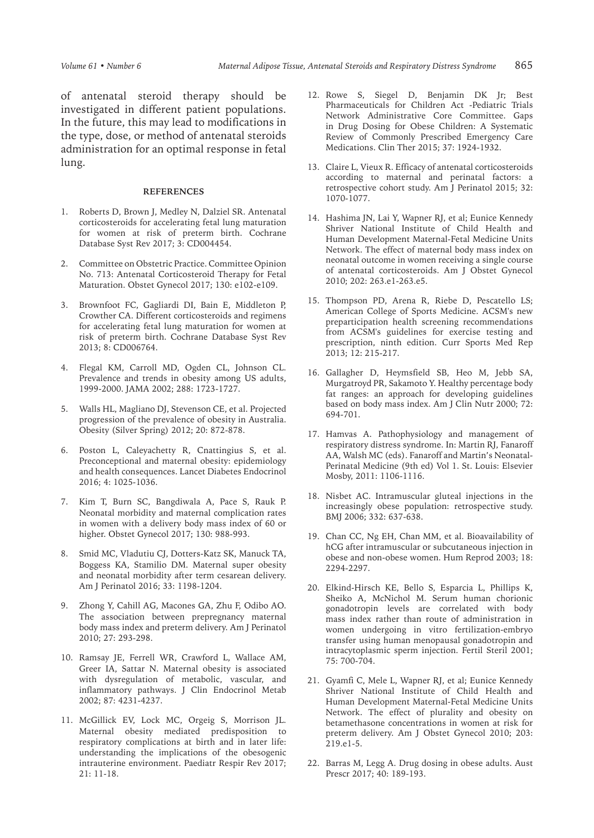of antenatal steroid therapy should be investigated in different patient populations. In the future, this may lead to modifications in the type, dose, or method of antenatal steroids administration for an optimal response in fetal lung.

#### **REFERENCES**

- 1. Roberts D, Brown J, Medley N, Dalziel SR. Antenatal corticosteroids for accelerating fetal lung maturation for women at risk of preterm birth. Cochrane Database Syst Rev 2017; 3: CD004454.
- 2. Committee on Obstetric Practice. Committee Opinion No. 713: Antenatal Corticosteroid Therapy for Fetal Maturation. Obstet Gynecol 2017; 130: e102-e109.
- 3. Brownfoot FC, Gagliardi DI, Bain E, Middleton P, Crowther CA. Different corticosteroids and regimens for accelerating fetal lung maturation for women at risk of preterm birth. Cochrane Database Syst Rev 2013; 8: CD006764.
- 4. Flegal KM, Carroll MD, Ogden CL, Johnson CL. Prevalence and trends in obesity among US adults, 1999-2000. JAMA 2002; 288: 1723-1727.
- 5. Walls HL, Magliano DJ, Stevenson CE, et al. Projected progression of the prevalence of obesity in Australia. Obesity (Silver Spring) 2012; 20: 872-878.
- 6. Poston L, Caleyachetty R, Cnattingius S, et al. Preconceptional and maternal obesity: epidemiology and health consequences. Lancet Diabetes Endocrinol 2016; 4: 1025-1036.
- 7. Kim T, Burn SC, Bangdiwala A, Pace S, Rauk P. Neonatal morbidity and maternal complication rates in women with a delivery body mass index of 60 or higher. Obstet Gynecol 2017; 130: 988-993.
- 8. Smid MC, Vladutiu CJ, Dotters-Katz SK, Manuck TA, Boggess KA, Stamilio DM. Maternal super obesity and neonatal morbidity after term cesarean delivery. Am J Perinatol 2016; 33: 1198-1204.
- 9. Zhong Y, Cahill AG, Macones GA, Zhu F, Odibo AO. The association between prepregnancy maternal body mass index and preterm delivery. Am J Perinatol 2010; 27: 293-298.
- 10. Ramsay JE, Ferrell WR, Crawford L, Wallace AM, Greer IA, Sattar N. Maternal obesity is associated with dysregulation of metabolic, vascular, and inflammatory pathways. J Clin Endocrinol Metab 2002; 87: 4231-4237.
- 11. McGillick EV, Lock MC, Orgeig S, Morrison JL. Maternal obesity mediated predisposition to respiratory complications at birth and in later life: understanding the implications of the obesogenic intrauterine environment. Paediatr Respir Rev 2017; 21: 11-18.
- 12. Rowe S, Siegel D, Benjamin DK Jr; Best Pharmaceuticals for Children Act -Pediatric Trials Network Administrative Core Committee. Gaps in Drug Dosing for Obese Children: A Systematic Review of Commonly Prescribed Emergency Care Medications. Clin Ther 2015; 37: 1924-1932.
- 13. Claire L, Vieux R. Efficacy of antenatal corticosteroids according to maternal and perinatal factors: a retrospective cohort study. Am J Perinatol 2015; 32: 1070-1077.
- 14. Hashima JN, Lai Y, Wapner RJ, et al; Eunice Kennedy Shriver National Institute of Child Health and Human Development Maternal-Fetal Medicine Units Network. The effect of maternal body mass index on neonatal outcome in women receiving a single course of antenatal corticosteroids. Am J Obstet Gynecol 2010; 202: 263.e1-263.e5.
- 15. Thompson PD, Arena R, Riebe D, Pescatello LS; American College of Sports Medicine. ACSM's new preparticipation health screening recommendations from ACSM's guidelines for exercise testing and prescription, ninth edition. Curr Sports Med Rep 2013; 12: 215-217.
- 16. Gallagher D, Heymsfield SB, Heo M, Jebb SA, Murgatroyd PR, Sakamoto Y. Healthy percentage body fat ranges: an approach for developing guidelines based on body mass index. Am J Clin Nutr 2000; 72: 694-701.
- 17. Hamvas A. Pathophysiology and management of respiratory distress syndrome. In: Martin RJ, Fanaroff AA, Walsh MC (eds). Fanaroff and Martin's Neonatal-Perinatal Medicine (9th ed) Vol 1. St. Louis: Elsevier Mosby, 2011: 1106-1116.
- 18. Nisbet AC. Intramuscular gluteal injections in the increasingly obese population: retrospective study. BMJ 2006; 332: 637-638.
- 19. Chan CC, Ng EH, Chan MM, et al. Bioavailability of hCG after intramuscular or subcutaneous injection in obese and non-obese women. Hum Reprod 2003; 18: 2294-2297.
- 20. Elkind-Hirsch KE, Bello S, Esparcia L, Phillips K, Sheiko A, McNichol M. Serum human chorionic gonadotropin levels are correlated with body mass index rather than route of administration in women undergoing in vitro fertilization-embryo transfer using human menopausal gonadotropin and intracytoplasmic sperm injection. Fertil Steril 2001; 75: 700-704.
- 21. Gyamfi C, Mele L, Wapner RJ, et al; Eunice Kennedy Shriver National Institute of Child Health and Human Development Maternal-Fetal Medicine Units Network. The effect of plurality and obesity on betamethasone concentrations in women at risk for preterm delivery. Am J Obstet Gynecol 2010; 203: 219.e1-5.
- 22. Barras M, Legg A. Drug dosing in obese adults. Aust Prescr 2017; 40: 189-193.